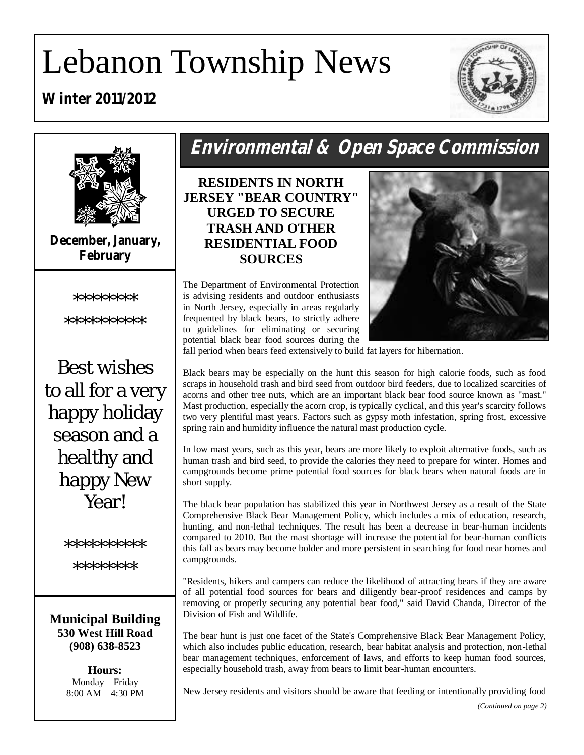# Lebanon Township News

### **Winter 2011/2012**





**December, January, February**



\*\*\*\*\*\*\*\*\*\*

Best wishes to all for a very happy holiday season and a healthy and happy New **Year!** 

\*\*\*\*\*\*\*\*\*\*

\*\*\*\*\*\*\*

**Municipal Building 530 West Hill Road (908) 638-8523**

> **Hours:** Monday – Friday 8:00 AM – 4:30 PM

# **Environmental & Open Space Commission**

**RESIDENTS IN NORTH JERSEY "BEAR COUNTRY" URGED TO SECURE TRASH AND OTHER RESIDENTIAL FOOD SOURCES** 

The Department of Environmental Protection is advising residents and outdoor enthusiasts in North Jersey, especially in areas regularly frequented by black bears, to strictly adhere to guidelines for eliminating or securing potential black bear food sources during the



fall period when bears feed extensively to build fat layers for hibernation.

Black bears may be especially on the hunt this season for high calorie foods, such as food scraps in household trash and bird seed from outdoor bird feeders, due to localized scarcities of acorns and other tree nuts, which are an important black bear food source known as "mast." Mast production, especially the acorn crop, is typically cyclical, and this year's scarcity follows two very plentiful mast years. Factors such as gypsy moth infestation, spring frost, excessive spring rain and humidity influence the natural mast production cycle.

In low mast years, such as this year, bears are more likely to exploit alternative foods, such as human trash and bird seed, to provide the calories they need to prepare for winter. Homes and campgrounds become prime potential food sources for black bears when natural foods are in short supply.

The black bear population has stabilized this year in Northwest Jersey as a result of the State Comprehensive Black Bear Management Policy, which includes a mix of education, research, hunting, and non-lethal techniques. The result has been a decrease in bear-human incidents compared to 2010. But the mast shortage will increase the potential for bear-human conflicts this fall as bears may become bolder and more persistent in searching for food near homes and campgrounds.

"Residents, hikers and campers can reduce the likelihood of attracting bears if they are aware of all potential food sources for bears and diligently bear-proof residences and camps by removing or properly securing any potential bear food," said David Chanda, Director of the Division of Fish and Wildlife.

The bear hunt is just one facet of the State's Comprehensive Black Bear Management Policy, which also includes public education, research, bear habitat analysis and protection, non-lethal bear management techniques, enforcement of laws, and efforts to keep human food sources, especially household trash, away from bears to limit bear-human encounters.

New Jersey residents and visitors should be aware that feeding or intentionally providing food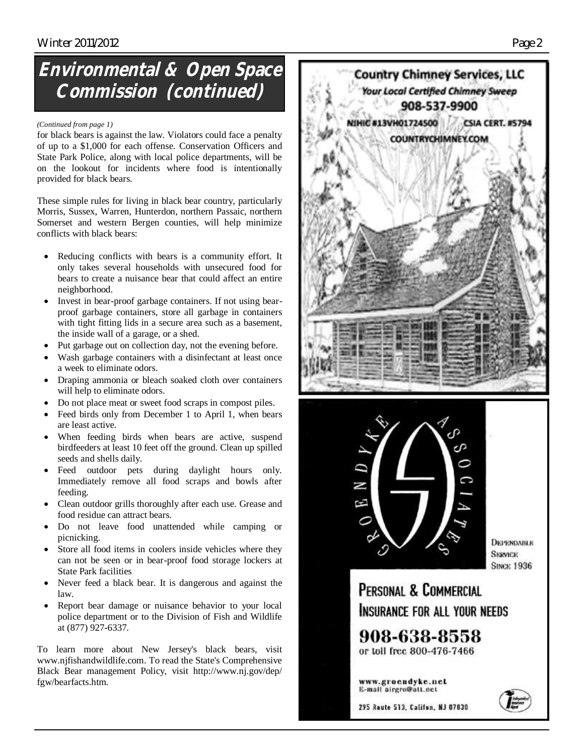# **Environmental & Open Space Commission (continued)**

#### *(Continued from page 1)*

for black bears is against the law. Violators could face a penalty of up to a \$1,000 for each offense. Conservation Officers and State Park Police, along with local police departments, will be on the lookout for incidents where food is intentionally provided for black bears.

These simple rules for living in black bear country, particularly Morris, Sussex, Warren, Hunterdon, northern Passaic, northern Somerset and western Bergen counties, will help minimize conflicts with black bears:

- Reducing conflicts with bears is a community effort. It only takes several households with unsecured food for bears to create a nuisance bear that could affect an entire neighborhood.
- Invest in bear-proof garbage containers. If not using bearproof garbage containers, store all garbage in containers with tight fitting lids in a secure area such as a basement, the inside wall of a garage, or a shed.
- Put garbage out on collection day, not the evening before.
- Wash garbage containers with a disinfectant at least once a week to eliminate odors.
- Draping ammonia or bleach soaked cloth over containers will help to eliminate odors.
- Do not place meat or sweet food scraps in compost piles.
- Feed birds only from December 1 to April 1, when bears are least active.
- When feeding birds when bears are active, suspend birdfeeders at least 10 feet off the ground. Clean up spilled seeds and shells daily.
- Feed outdoor pets during daylight hours only. Immediately remove all food scraps and bowls after feeding.
- Clean outdoor grills thoroughly after each use. Grease and food residue can attract bears.
- Do not leave food unattended while camping or picnicking.
- Store all food items in coolers inside vehicles where they can not be seen or in bear-proof food storage lockers at State Park facilities
- Never feed a black bear. It is dangerous and against the law.
- Report bear damage or nuisance behavior to your local police department or to the Division of Fish and Wildlife at (877) 927-6337.

To learn more about New Jersey's black bears, visit www.njfishandwildlife.com. To read the State's Comprehensive Black Bear management Policy, visit http://www.nj.gov/dep/ fgw/bearfacts.htm.





*<u>DEPENDABLE</u>* **SKRVICE SINCE 1936** 

PERSONAL & COMMERCIAL INSURANCE FOR ALL YOUR NEEDS

908-638-8558 or toll free 800-476-7466

www.groendyke.net E-mail airgro@att.nct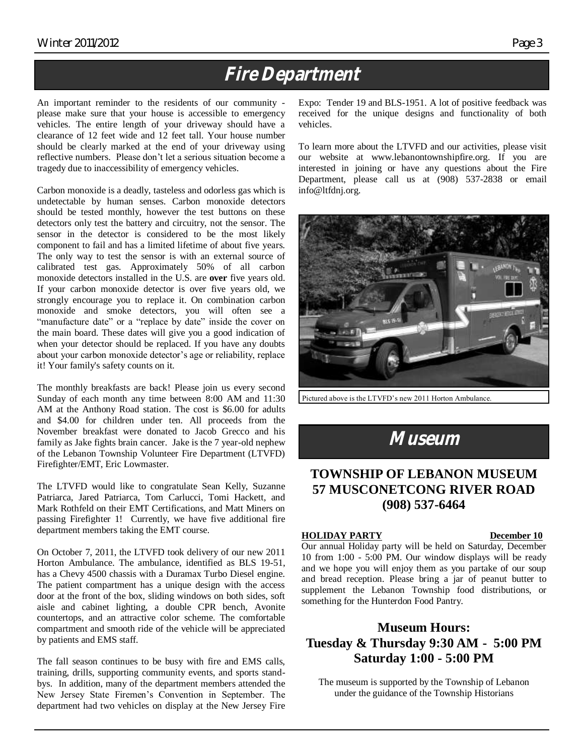# **Fire Department**

An important reminder to the residents of our community please make sure that your house is accessible to emergency vehicles. The entire length of your driveway should have a clearance of 12 feet wide and 12 feet tall. Your house number should be clearly marked at the end of your driveway using reflective numbers. Please don't let a serious situation become a tragedy due to inaccessibility of emergency vehicles.

Carbon monoxide is a deadly, tasteless and odorless gas which is undetectable by human senses. Carbon monoxide detectors should be tested monthly, however the test buttons on these detectors only test the battery and circuitry, not the sensor. The sensor in the detector is considered to be the most likely component to fail and has a limited lifetime of about five years. The only way to test the sensor is with an external source of calibrated test gas. Approximately 50% of all carbon monoxide detectors installed in the U.S. are **over** five years old. If your carbon monoxide detector is over five years old, we strongly encourage you to replace it. On combination carbon monoxide and smoke detectors, you will often see a "manufacture date" or a "replace by date" inside the cover on the main board. These dates will give you a good indication of when your detector should be replaced. If you have any doubts about your carbon monoxide detector's age or reliability, replace it! Your family's safety counts on it.

The monthly breakfasts are back! Please join us every second Sunday of each month any time between 8:00 AM and 11:30 AM at the Anthony Road station. The cost is \$6.00 for adults and \$4.00 for children under ten. All proceeds from the November breakfast were donated to Jacob Grecco and his family as Jake fights brain cancer. Jake is the 7 year-old nephew of the Lebanon Township Volunteer Fire Department (LTVFD) Firefighter/EMT, Eric Lowmaster.

The LTVFD would like to congratulate Sean Kelly, Suzanne Patriarca, Jared Patriarca, Tom Carlucci, Tomi Hackett, and Mark Rothfeld on their EMT Certifications, and Matt Miners on passing Firefighter 1! Currently, we have five additional fire department members taking the EMT course.

On October 7, 2011, the LTVFD took delivery of our new 2011 Horton Ambulance. The ambulance, identified as BLS 19-51, has a Chevy 4500 chassis with a Duramax Turbo Diesel engine. The patient compartment has a unique design with the access door at the front of the box, sliding windows on both sides, soft aisle and cabinet lighting, a double CPR bench, Avonite countertops, and an attractive color scheme. The comfortable compartment and smooth ride of the vehicle will be appreciated by patients and EMS staff.

The fall season continues to be busy with fire and EMS calls, training, drills, supporting community events, and sports standbys. In addition, many of the department members attended the New Jersey State Firemen's Convention in September. The department had two vehicles on display at the New Jersey Fire

Expo: Tender 19 and BLS-1951. A lot of positive feedback was received for the unique designs and functionality of both vehicles.

To learn more about the LTVFD and our activities, please visit our website at www.lebanontownshipfire.org. If you are interested in joining or have any questions about the Fire Department, please call us at (908) 537-2838 or email info@ltfdnj.org.



Pictured above is the LTVFD's new 2011 Horton Ambulance.

**Museum**

### **TOWNSHIP OF LEBANON MUSEUM 57 MUSCONETCONG RIVER ROAD (908) 537-6464**

#### **HOLIDAY PARTY December 10**

#### Our annual Holiday party will be held on Saturday, December 10 from 1:00 - 5:00 PM. Our window displays will be ready and we hope you will enjoy them as you partake of our soup and bread reception. Please bring a jar of peanut butter to supplement the Lebanon Township food distributions, or something for the Hunterdon Food Pantry.

### **Museum Hours: Tuesday & Thursday 9:30 AM - 5:00 PM Saturday 1:00 - 5:00 PM**

The museum is supported by the Township of Lebanon under the guidance of the Township Historians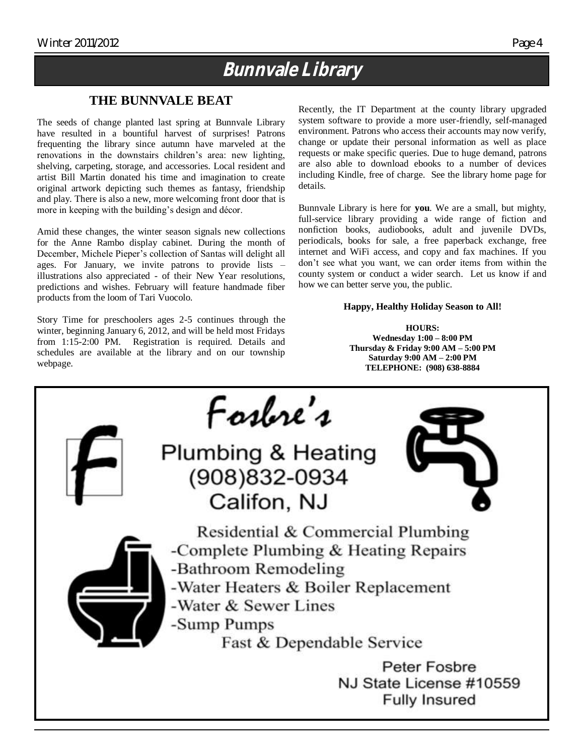### **Bunnvale Library**

### **THE BUNNVALE BEAT**

The seeds of change planted last spring at Bunnvale Library have resulted in a bountiful harvest of surprises! Patrons frequenting the library since autumn have marveled at the renovations in the downstairs children's area: new lighting, shelving, carpeting, storage, and accessories. Local resident and artist Bill Martin donated his time and imagination to create original artwork depicting such themes as fantasy, friendship and play. There is also a new, more welcoming front door that is more in keeping with the building's design and décor.

Amid these changes, the winter season signals new collections for the Anne Rambo display cabinet. During the month of December, Michele Pieper's collection of Santas will delight all ages. For January, we invite patrons to provide lists – illustrations also appreciated - of their New Year resolutions, predictions and wishes. February will feature handmade fiber products from the loom of Tari Vuocolo.

Story Time for preschoolers ages 2-5 continues through the winter, beginning January 6, 2012, and will be held most Fridays from 1:15-2:00 PM. Registration is required. Details and schedules are available at the library and on our township webpage.

Recently, the IT Department at the county library upgraded system software to provide a more user-friendly, self-managed environment. Patrons who access their accounts may now verify, change or update their personal information as well as place requests or make specific queries. Due to huge demand, patrons are also able to download ebooks to a number of devices including Kindle, free of charge. See the library home page for details.

Bunnvale Library is here for **you**. We are a small, but mighty, full-service library providing a wide range of fiction and nonfiction books, audiobooks, adult and juvenile DVDs, periodicals, books for sale, a free paperback exchange, free internet and WiFi access, and copy and fax machines. If you don't see what you want, we can order items from within the county system or conduct a wider search. Let us know if and how we can better serve you, the public.

#### **Happy, Healthy Holiday Season to All!**

**HOURS: Wednesday 1:00 – 8:00 PM Thursday & Friday 9:00 AM – 5:00 PM Saturday 9:00 AM – 2:00 PM TELEPHONE: (908) 638-8884**

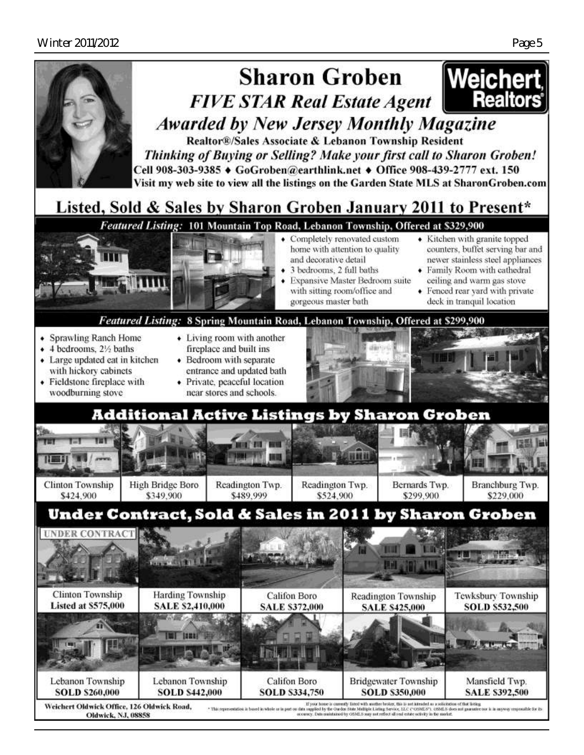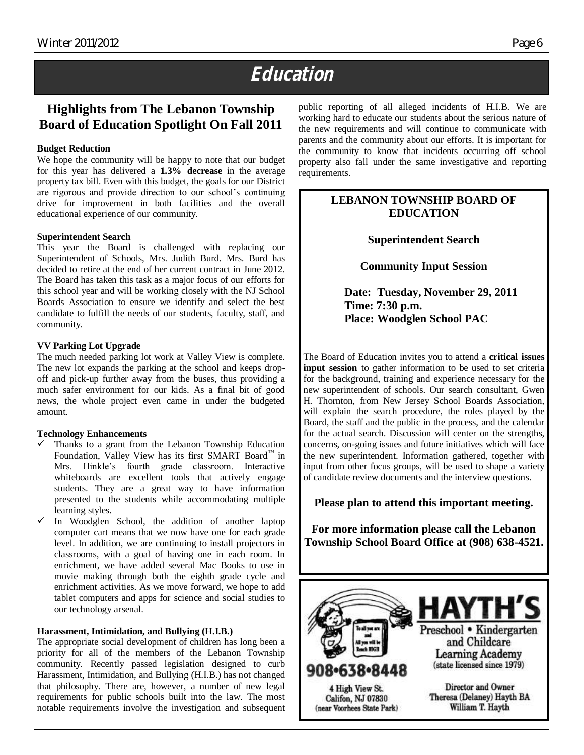# **Education**

### **Highlights from The Lebanon Township Board of Education Spotlight On Fall 2011**

#### **Budget Reduction**

We hope the community will be happy to note that our budget for this year has delivered a **1.3% decrease** in the average property tax bill. Even with this budget, the goals for our District are rigorous and provide direction to our school's continuing drive for improvement in both facilities and the overall educational experience of our community.

#### **Superintendent Search**

This year the Board is challenged with replacing our Superintendent of Schools, Mrs. Judith Burd. Mrs. Burd has decided to retire at the end of her current contract in June 2012. The Board has taken this task as a major focus of our efforts for this school year and will be working closely with the NJ School Boards Association to ensure we identify and select the best candidate to fulfill the needs of our students, faculty, staff, and community.

#### **VV Parking Lot Upgrade**

The much needed parking lot work at Valley View is complete. The new lot expands the parking at the school and keeps dropoff and pick-up further away from the buses, thus providing a much safer environment for our kids. As a final bit of good news, the whole project even came in under the budgeted amount.

#### **Technology Enhancements**

- Thanks to a grant from the Lebanon Township Education Foundation, Valley View has its first SMART Board<sup>™</sup> in Mrs. Hinkle's fourth grade classroom. Interactive whiteboards are excellent tools that actively engage students. They are a great way to have information presented to the students while accommodating multiple learning styles.
- In Woodglen School, the addition of another laptop computer cart means that we now have one for each grade level. In addition, we are continuing to install projectors in classrooms, with a goal of having one in each room. In enrichment, we have added several Mac Books to use in movie making through both the eighth grade cycle and enrichment activities. As we move forward, we hope to add tablet computers and apps for science and social studies to our technology arsenal.

#### **Harassment, Intimidation, and Bullying (H.I.B.)**

The appropriate social development of children has long been a priority for all of the members of the Lebanon Township community. Recently passed legislation designed to curb Harassment, Intimidation, and Bullying (H.I.B.) has not changed that philosophy. There are, however, a number of new legal requirements for public schools built into the law. The most notable requirements involve the investigation and subsequent public reporting of all alleged incidents of H.I.B. We are working hard to educate our students about the serious nature of the new requirements and will continue to communicate with parents and the community about our efforts. It is important for the community to know that incidents occurring off school property also fall under the same investigative and reporting requirements.

#### **LEBANON TOWNSHIP BOARD OF EDUCATION**

**Superintendent Search** 

**Community Input Session**

**Date: Tuesday, November 29, 2011 Time: 7:30 p.m. Place: Woodglen School PAC**

The Board of Education invites you to attend a **critical issues input session** to gather information to be used to set criteria for the background, training and experience necessary for the new superintendent of schools. Our search consultant, Gwen H. Thornton, from New Jersey School Boards Association, will explain the search procedure, the roles played by the Board, the staff and the public in the process, and the calendar for the actual search. Discussion will center on the strengths, concerns, on-going issues and future initiatives which will face the new superintendent. Information gathered, together with input from other focus groups, will be used to shape a variety of candidate review documents and the interview questions.

#### **Please plan to attend this important meeting.**

**For more information please call the Lebanon Township School Board Office at (908) 638-4521.**

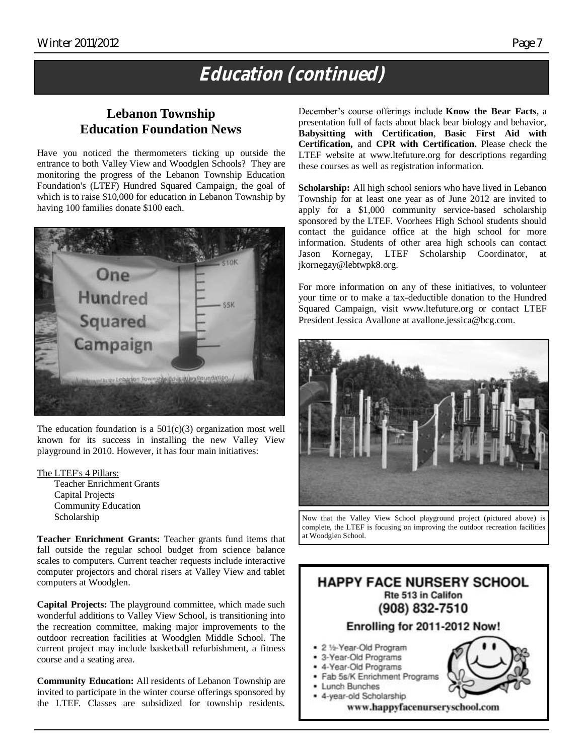# **Education (continued)**

### **Lebanon Township Education Foundation News**

Have you noticed the thermometers ticking up outside the entrance to both Valley View and Woodglen Schools? They are monitoring the progress of the Lebanon Township Education Foundation's (LTEF) Hundred Squared Campaign, the goal of which is to raise \$10,000 for education in Lebanon Township by having 100 families donate \$100 each.



The education foundation is a  $501(c)(3)$  organization most well known for its success in installing the new Valley View playground in 2010. However, it has four main initiatives:

The LTEF's 4 Pillars:

Teacher Enrichment Grants Capital Projects Community Education Scholarship

**Teacher Enrichment Grants:** Teacher grants fund items that fall outside the regular school budget from science balance scales to computers. Current teacher requests include interactive computer projectors and choral risers at Valley View and tablet computers at Woodglen.

**Capital Projects:** The playground committee, which made such wonderful additions to Valley View School, is transitioning into the recreation committee, making major improvements to the outdoor recreation facilities at Woodglen Middle School. The current project may include basketball refurbishment, a fitness course and a seating area.

**Community Education:** All residents of Lebanon Township are invited to participate in the winter course offerings sponsored by the LTEF. Classes are subsidized for township residents. December's course offerings include **Know the Bear Facts**, a presentation full of facts about black bear biology and behavior, **Babysitting with Certification**, **Basic First Aid with Certification,** and **CPR with Certification.** Please check the LTEF website at www.ltefuture.org for descriptions regarding these courses as well as registration information.

Scholarship: All high school seniors who have lived in Lebanon Township for at least one year as of June 2012 are invited to apply for a \$1,000 community service-based scholarship sponsored by the LTEF. Voorhees High School students should contact the guidance office at the high school for more information. Students of other area high schools can contact Jason Kornegay, LTEF Scholarship Coordinator, at jkornegay@lebtwpk8.org.

For more information on any of these initiatives, to volunteer your time or to make a tax-deductible donation to the Hundred Squared Campaign, visit www.ltefuture.org or contact LTEF President Jessica Avallone at avallone.jessica@bcg.com.



Now that the Valley View School playground project (pictured above) is complete, the LTEF is focusing on improving the outdoor recreation facilities at Woodglen School.

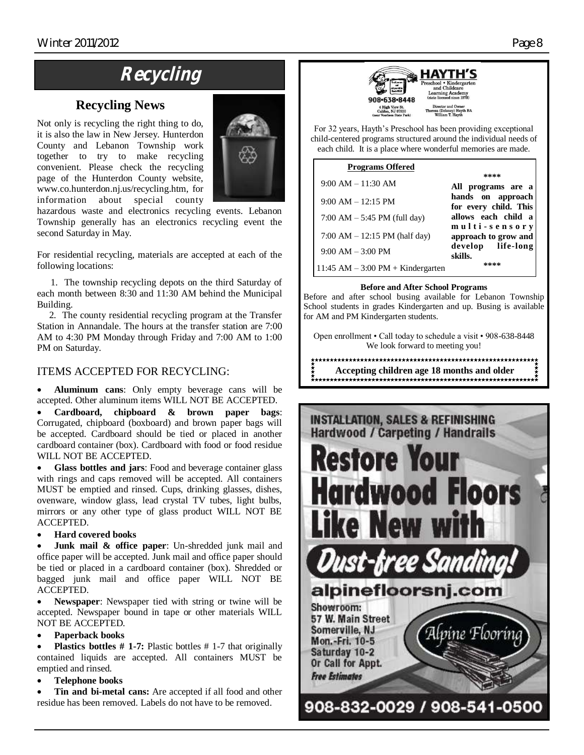# **Recycling**

### **Recycling News**

Not only is recycling the right thing to do, it is also the law in New Jersey. Hunterdon County and Lebanon Township work together to try to make recycling convenient. Please check the recycling page of the Hunterdon County website, www.co.hunterdon.nj.us/recycling.htm, for information about special county



hazardous waste and electronics recycling events. Lebanon Township generally has an electronics recycling event the second Saturday in May.

For residential recycling, materials are accepted at each of the following locations:

 1. The township recycling depots on the third Saturday of each month between 8:30 and 11:30 AM behind the Municipal Building.

 2. The county residential recycling program at the Transfer Station in Annandale. The hours at the transfer station are 7:00 AM to 4:30 PM Monday through Friday and 7:00 AM to 1:00 PM on Saturday.

#### ITEMS ACCEPTED FOR RECYCLING:

 **Aluminum cans**: Only empty beverage cans will be accepted. Other aluminum items WILL NOT BE ACCEPTED.

 **Cardboard, chipboard & brown paper bags**: Corrugated, chipboard (boxboard) and brown paper bags will be accepted. Cardboard should be tied or placed in another cardboard container (box). Cardboard with food or food residue WILL NOT BE ACCEPTED.

 **Glass bottles and jars**: Food and beverage container glass with rings and caps removed will be accepted. All containers MUST be emptied and rinsed. Cups, drinking glasses, dishes, ovenware, window glass, lead crystal TV tubes, light bulbs, mirrors or any other type of glass product WILL NOT BE ACCEPTED.

#### **Hard covered books**

 **Junk mail & office paper**: Un-shredded junk mail and office paper will be accepted. Junk mail and office paper should be tied or placed in a cardboard container (box). Shredded or bagged junk mail and office paper WILL NOT BE ACCEPTED.

 **Newspaper**: Newspaper tied with string or twine will be accepted. Newspaper bound in tape or other materials WILL NOT BE ACCEPTED.

#### **Paperback books**

 **Plastics bottles # 1-7:** Plastic bottles # 1-7 that originally contained liquids are accepted. All containers MUST be emptied and rinsed.

#### **Telephone books**

 **Tin and bi-metal cans:** Are accepted if all food and other residue has been removed. Labels do not have to be removed.



For 32 years, Hayth's Preschool has been providing exceptional child-centered programs structured around the individual needs of each child. It is a place where wonderful memories are made.

| <b>Programs Offered</b>               |                                            |
|---------------------------------------|--------------------------------------------|
| $9:00$ AM $-11:30$ AM                 | ****<br>All programs are a                 |
| $9:00$ AM $-12:15$ PM                 | hands on approach<br>for every child. This |
| $7:00$ AM $-5:45$ PM (full day)       | allows each child a<br>multi-sensory       |
| 7:00 AM $-$ 12:15 PM (half day)       | approach to grow and                       |
| $9:00 AM - 3:00 PM$                   | develop life-long<br>skills.               |
| 11:45 AM $-$ 3:00 PM $+$ Kindergarten | ****                                       |

#### **Before and After School Programs**

Before and after school busing available for Lebanon Township School students in grades Kindergarten and up. Busing is available for AM and PM Kindergarten students.

Open enrollment • Call today to schedule a visit • 908-638-8448 We look forward to meeting you!

**Accepting children age 18 months and older**

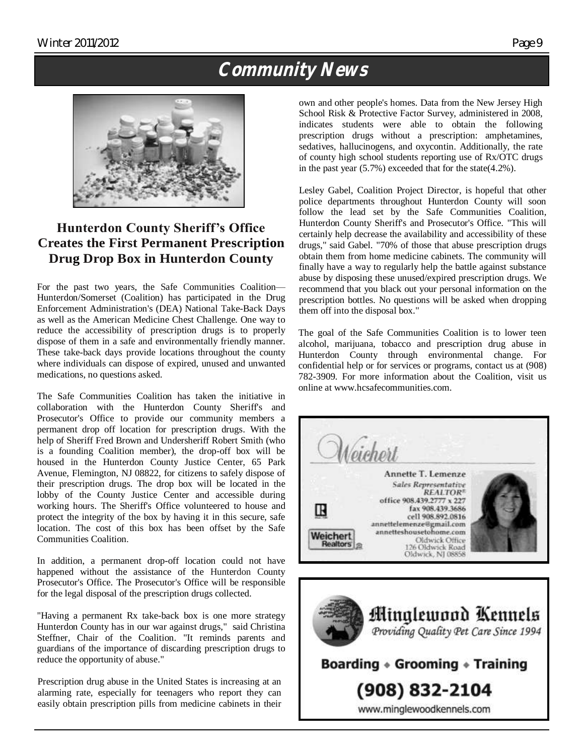# **Community News**



### **Hunterdon County Sheriff's Office Creates the First Permanent Prescription Drug Drop Box in Hunterdon County**

For the past two years, the Safe Communities Coalition— Hunterdon/Somerset (Coalition) has participated in the Drug Enforcement Administration's (DEA) National Take-Back Days as well as the American Medicine Chest Challenge. One way to reduce the accessibility of prescription drugs is to properly dispose of them in a safe and environmentally friendly manner. These take-back days provide locations throughout the county where individuals can dispose of expired, unused and unwanted medications, no questions asked.

The Safe Communities Coalition has taken the initiative in collaboration with the Hunterdon County Sheriff's and Prosecutor's Office to provide our community members a permanent drop off location for prescription drugs. With the help of Sheriff Fred Brown and Undersheriff Robert Smith (who is a founding Coalition member), the drop-off box will be housed in the Hunterdon County Justice Center, 65 Park Avenue, Flemington, NJ 08822, for citizens to safely dispose of their prescription drugs. The drop box will be located in the lobby of the County Justice Center and accessible during working hours. The Sheriff's Office volunteered to house and protect the integrity of the box by having it in this secure, safe location. The cost of this box has been offset by the Safe Communities Coalition.

In addition, a permanent drop-off location could not have happened without the assistance of the Hunterdon County Prosecutor's Office. The Prosecutor's Office will be responsible for the legal disposal of the prescription drugs collected.

"Having a permanent Rx take-back box is one more strategy Hunterdon County has in our war against drugs," said Christina Steffner, Chair of the Coalition. "It reminds parents and guardians of the importance of discarding prescription drugs to reduce the opportunity of abuse."

Prescription drug abuse in the United States is increasing at an alarming rate, especially for teenagers who report they can easily obtain prescription pills from medicine cabinets in their

own and other people's homes. Data from the New Jersey High School Risk & Protective Factor Survey, administered in 2008, indicates students were able to obtain the following prescription drugs without a prescription: amphetamines, sedatives, hallucinogens, and oxycontin. Additionally, the rate of county high school students reporting use of Rx/OTC drugs in the past year (5.7%) exceeded that for the state(4.2%).

Lesley Gabel, Coalition Project Director, is hopeful that other police departments throughout Hunterdon County will soon follow the lead set by the Safe Communities Coalition, Hunterdon County Sheriff's and Prosecutor's Office. "This will certainly help decrease the availability and accessibility of these drugs," said Gabel. "70% of those that abuse prescription drugs obtain them from home medicine cabinets. The community will finally have a way to regularly help the battle against substance abuse by disposing these unused/expired prescription drugs. We recommend that you black out your personal information on the prescription bottles. No questions will be asked when dropping them off into the disposal box."

The goal of the Safe Communities Coalition is to lower teen alcohol, marijuana, tobacco and prescription drug abuse in Hunterdon County through environmental change. For confidential help or for services or programs, contact us at (908) 782-3909. For more information about the Coalition, visit us online at www.hcsafecommunities.com.



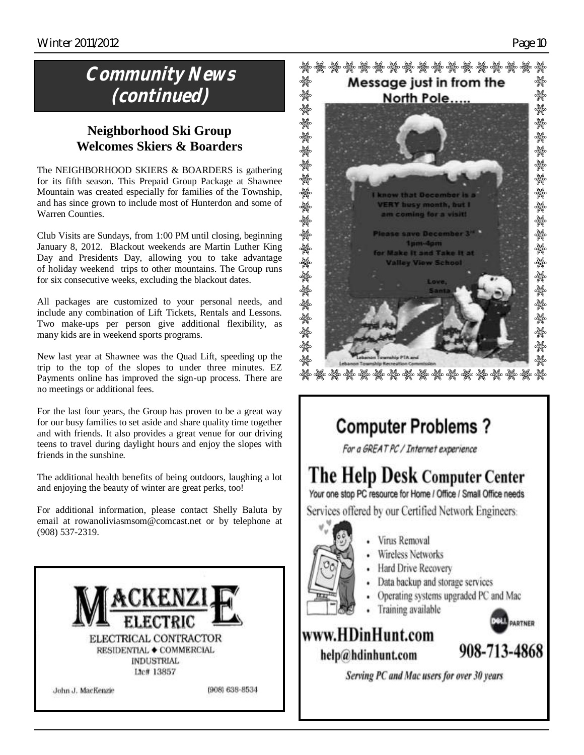# **Community News (continued)**

### **Neighborhood Ski Group Welcomes Skiers & Boarders**

The NEIGHBORHOOD SKIERS & BOARDERS is gathering for its fifth season. This Prepaid Group Package at Shawnee Mountain was created especially for families of the Township, and has since grown to include most of Hunterdon and some of Warren Counties.

Club Visits are Sundays, from 1:00 PM until closing, beginning January 8, 2012. Blackout weekends are Martin Luther King Day and Presidents Day, allowing you to take advantage of holiday weekend trips to other mountains. The Group runs for six consecutive weeks, excluding the blackout dates.

All packages are customized to your personal needs, and include any combination of Lift Tickets, Rentals and Lessons. Two make-ups per person give additional flexibility, as many kids are in weekend sports programs.

New last year at Shawnee was the Quad Lift, speeding up the trip to the top of the slopes to under three minutes. EZ Payments online has improved the sign-up process. There are no meetings or additional fees.

For the last four years, the Group has proven to be a great way for our busy families to set aside and share quality time together and with friends. It also provides a great venue for our driving teens to travel during daylight hours and enjoy the slopes with friends in the sunshine.

The additional health benefits of being outdoors, laughing a lot and enjoying the beauty of winter are great perks, too!

For additional information, please contact Shelly Baluta by email at rowanoliviasmsom@comcast.net or by telephone at (908) 537-2319.





**Valley View School** 

# **Computer Problems?**

For a GREAT PC / Internet experience

# The Help Desk Computer Center

Your one stop PC resource for Home / Office / Small Office needs

Services offered by our Certified Network Engineers:

- Vinis Removal
- Wireless Networks
- Hard Drive Recovery
- Data backup and storage services
- Operating systems upgraded PC and Mac
- Training available

### www.HDinHunt.com help@hdinhunt.com



**D**PARTNER

Serving PC and Mac users for over 30 years

અયુક્ષ અયુક્ષ અયુક્ષ અયુક્ષ<br>અયુક્ષ અયુક્ષ અયુક્ષ

ૣ૽ૢૢૢૣૢૢૢૢૢૢૣૢૢૢૢૢૢૢ<br>ઌૺૣૢૻૺૣૻૢ૾ૢૢૢૢૢૢૢ 纝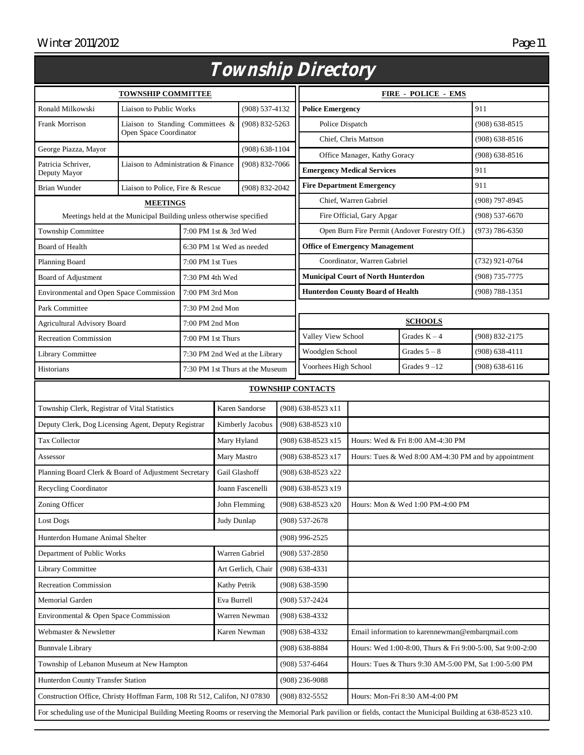|                                                                                                                                                               |                                                                    |                       |                                 |                                                                                  |                                       | <i>Township Directory</i>                             |                                                      |                                  |                    |
|---------------------------------------------------------------------------------------------------------------------------------------------------------------|--------------------------------------------------------------------|-----------------------|---------------------------------|----------------------------------------------------------------------------------|---------------------------------------|-------------------------------------------------------|------------------------------------------------------|----------------------------------|--------------------|
| <b>TOWNSHIP COMMITTEE</b>                                                                                                                                     |                                                                    |                       |                                 |                                                                                  |                                       | <b>FIRE - POLICE - EMS</b>                            |                                                      |                                  |                    |
| Ronald Milkowski                                                                                                                                              | Liaison to Public Works                                            |                       |                                 | $(908) 537 - 4132$                                                               | <b>Police Emergency</b>               |                                                       |                                                      |                                  | 911                |
| Frank Morrison                                                                                                                                                | Liaison to Standing Committees &                                   |                       |                                 | $(908) 832 - 5263$                                                               |                                       | Police Dispatch                                       |                                                      |                                  | $(908) 638 - 8515$ |
|                                                                                                                                                               | Open Space Coordinator                                             |                       |                                 |                                                                                  |                                       | Chief, Chris Mattson                                  |                                                      | $(908) 638 - 8516$               |                    |
| George Piazza, Mayor                                                                                                                                          |                                                                    |                       |                                 | $(908) 638 - 1104$                                                               |                                       | Office Manager, Kathy Goracy                          |                                                      |                                  | $(908) 638 - 8516$ |
| Patricia Schriver,<br>Deputy Mayor                                                                                                                            | Liaison to Administration & Finance                                |                       |                                 | $(908) 832 - 7066$                                                               |                                       |                                                       | <b>Emergency Medical Services</b>                    |                                  | 911                |
| Brian Wunder                                                                                                                                                  | Liaison to Police, Fire & Rescue                                   |                       |                                 | $(908) 832 - 2042$                                                               |                                       | <b>Fire Department Emergency</b>                      |                                                      | 911                              |                    |
| <b>MEETINGS</b>                                                                                                                                               |                                                                    |                       |                                 |                                                                                  | Chief, Warren Gabriel                 |                                                       | (908) 797-8945                                       |                                  |                    |
|                                                                                                                                                               | Meetings held at the Municipal Building unless otherwise specified |                       |                                 |                                                                                  |                                       | Fire Official, Gary Apgar                             |                                                      |                                  | $(908) 537 - 6670$ |
| Township Committee                                                                                                                                            |                                                                    | 7:00 PM 1st & 3rd Wed |                                 | Open Burn Fire Permit (Andover Forestry Off.)                                    |                                       |                                                       | $(973) 786 - 6350$                                   |                                  |                    |
| <b>Board of Health</b>                                                                                                                                        |                                                                    |                       | 6:30 PM 1st Wed as needed       |                                                                                  | <b>Office of Emergency Management</b> |                                                       |                                                      |                                  |                    |
| Planning Board                                                                                                                                                |                                                                    | 7:00 PM 1st Tues      |                                 |                                                                                  | Coordinator, Warren Gabriel           |                                                       |                                                      | (732) 921-0764                   |                    |
| Board of Adjustment                                                                                                                                           |                                                                    | 7:30 PM 4th Wed       |                                 |                                                                                  |                                       |                                                       | <b>Municipal Court of North Hunterdon</b>            |                                  | (908) 735-7775     |
| Environmental and Open Space Commission                                                                                                                       |                                                                    | 7:00 PM 3rd Mon       |                                 |                                                                                  |                                       |                                                       | <b>Hunterdon County Board of Health</b>              |                                  | $(908) 788 - 1351$ |
| Park Committee                                                                                                                                                |                                                                    | 7:30 PM 2nd Mon       |                                 |                                                                                  |                                       |                                                       |                                                      |                                  |                    |
| <b>Agricultural Advisory Board</b>                                                                                                                            |                                                                    | 7:00 PM 2nd Mon       |                                 |                                                                                  |                                       |                                                       |                                                      | <b>SCHOOLS</b>                   |                    |
| <b>Recreation Commission</b>                                                                                                                                  |                                                                    | 7:00 PM 1st Thurs     |                                 |                                                                                  |                                       | Valley View School                                    |                                                      | Grades $K - 4$                   | (908) 832-2175     |
| Library Committee                                                                                                                                             |                                                                    |                       | 7:30 PM 2nd Wed at the Library  |                                                                                  |                                       | Woodglen School                                       |                                                      | Grades $5-8$                     | $(908) 638 - 4111$ |
| Historians                                                                                                                                                    |                                                                    |                       | 7:30 PM 1st Thurs at the Museum |                                                                                  | Voorhees High School                  |                                                       | Grades $9 - 12$                                      | $(908) 638 - 6116$               |                    |
| <b>TOWNSHIP CONTACTS</b>                                                                                                                                      |                                                                    |                       |                                 |                                                                                  |                                       |                                                       |                                                      |                                  |                    |
| Karen Sandorse<br>Township Clerk, Registrar of Vital Statistics                                                                                               |                                                                    |                       |                                 | (908) 638-8523 x11                                                               |                                       |                                                       |                                                      |                                  |                    |
| Deputy Clerk, Dog Licensing Agent, Deputy Registrar                                                                                                           |                                                                    |                       | Kimberly Jacobus                | $(908)$ 638-8523 x10                                                             |                                       |                                                       |                                                      |                                  |                    |
| Tax Collector                                                                                                                                                 |                                                                    | Mary Hyland           |                                 | (908) 638-8523 x15                                                               |                                       |                                                       | Hours: Wed & Fri 8:00 AM-4:30 PM                     |                                  |                    |
| Assessor                                                                                                                                                      |                                                                    | Mary Mastro           |                                 | (908) 638-8523 x17                                                               |                                       |                                                       | Hours: Tues & Wed 8:00 AM-4:30 PM and by appointment |                                  |                    |
| Planning Board Clerk & Board of Adjustment Secretary                                                                                                          |                                                                    | Gail Glashoff         |                                 | (908) 638-8523 x22                                                               |                                       |                                                       |                                                      |                                  |                    |
| Recycling Coordinator                                                                                                                                         |                                                                    |                       | Joann Fascenelli                | (908) 638-8523 x19                                                               |                                       |                                                       |                                                      |                                  |                    |
| Zoning Officer                                                                                                                                                |                                                                    |                       |                                 | John Flemming                                                                    | (908) 638-8523 x20                    |                                                       |                                                      | Hours: Mon & Wed 1:00 PM-4:00 PM |                    |
| Lost Dogs                                                                                                                                                     |                                                                    | Judy Dunlap           |                                 |                                                                                  | (908) 537-2678                        |                                                       |                                                      |                                  |                    |
| Hunterdon Humane Animal Shelter                                                                                                                               |                                                                    |                       |                                 | $(908)$ 996-2525                                                                 |                                       |                                                       |                                                      |                                  |                    |
| Department of Public Works                                                                                                                                    |                                                                    |                       | Warren Gabriel                  |                                                                                  | (908) 537-2850                        |                                                       |                                                      |                                  |                    |
| <b>Library Committee</b>                                                                                                                                      |                                                                    |                       | Art Gerlich, Chair              |                                                                                  | $(908) 638-4331$                      |                                                       |                                                      |                                  |                    |
| <b>Recreation Commission</b>                                                                                                                                  |                                                                    | Kathy Petrik          |                                 | $(908) 638 - 3590$                                                               |                                       |                                                       |                                                      |                                  |                    |
| Memorial Garden                                                                                                                                               |                                                                    | Eva Burrell           |                                 | (908) 537-2424                                                                   |                                       |                                                       |                                                      |                                  |                    |
| Environmental & Open Space Commission                                                                                                                         |                                                                    |                       | Warren Newman                   | $(908) 638 - 4332$                                                               |                                       |                                                       |                                                      |                                  |                    |
| Webmaster & Newsletter                                                                                                                                        |                                                                    |                       | Karen Newman                    | $(908) 638 - 4332$                                                               |                                       | Email information to karennewman@embarqmail.com       |                                                      |                                  |                    |
| <b>Bunnvale Library</b>                                                                                                                                       |                                                                    |                       |                                 | $(908) 638 - 8884$<br>Hours: Wed 1:00-8:00, Thurs & Fri 9:00-5:00, Sat 9:00-2:00 |                                       |                                                       |                                                      |                                  |                    |
| Township of Lebanon Museum at New Hampton                                                                                                                     |                                                                    |                       |                                 | (908) 537-6464                                                                   |                                       | Hours: Tues & Thurs 9:30 AM-5:00 PM, Sat 1:00-5:00 PM |                                                      |                                  |                    |
| Hunterdon County Transfer Station                                                                                                                             |                                                                    |                       |                                 | $(908)$ 236-9088                                                                 |                                       |                                                       |                                                      |                                  |                    |
| Construction Office, Christy Hoffman Farm, 108 Rt 512, Califon, NJ 07830                                                                                      |                                                                    |                       |                                 | (908) 832-5552<br>Hours: Mon-Fri 8:30 AM-4:00 PM                                 |                                       |                                                       |                                                      |                                  |                    |
| For scheduling use of the Municipal Building Meeting Rooms or reserving the Memorial Park pavilion or fields, contact the Municipal Building at 638-8523 x10. |                                                                    |                       |                                 |                                                                                  |                                       |                                                       |                                                      |                                  |                    |